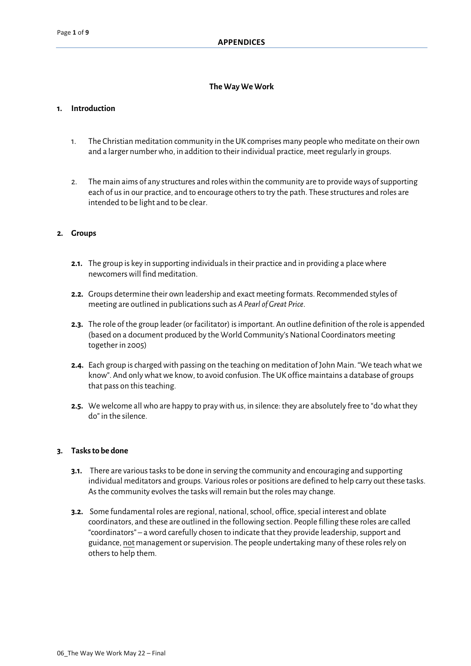# **TheWay WeWork**

# **1. Introduction**

- 1. The Christian meditation community in the UK comprises many peoplewho meditate on their own and a larger numberwho, in addition to their individual practice, meetregularly in groups.
- 2. The main aims of any structures and roles within the community are to provide ways of supporting each of usin our practice, and to encourage othersto try the path. These structures and roles are intended to be light and to be clear.

## **2. Groups**

- **2.1.** The group is key in supporting individuals in their practice and in providing a place where newcomerswill find meditation.
- **2.2.** Groups determine their own leadership and exact meeting formats. Recommended styles of meeting are outlined in publicationssuch as *APearl of Great Price*.
- **2.3.** The role of the group leader (or facilitator) isimportant. An outline definition of the role is appended (based on a document produced by the World Community's National Coordinators meeting together in 2005)
- **2.4.** Each group ischargedwith passing on the teaching on meditation of John Main. "We teachwhatwe know". And only what we know, to avoid confusion. The UK office maintains a database of groups that pass on this teaching.
- **2.5.** Wewelcome allwho are happy to praywith us, in silence: they are absolutely free to "dowhat they do" in the silence.

## **3. Tasksto be done**

- **3.1.** There are various tasks to be done in serving the community and encouraging and supporting individual meditators and groups. Various roles or positions are defined to help carry out these tasks. As the community evolves the tasks will remain but the roles may change.
- **3.2.** Some fundamental roles are regional, national, school, office, special interest and oblate coordinators, and these are outlined in the following section. People filling these roles are called "coordinators" – a word carefully chosen to indicate that they provide leadership, support and guidance, not management orsupervision. The people undertaking many of these rolesrely on others to help them.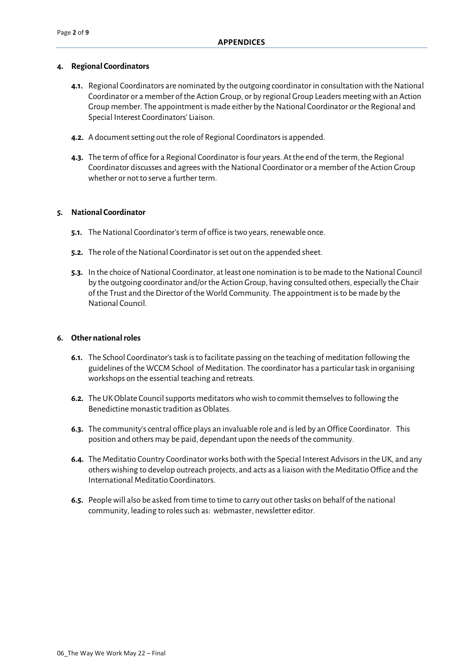#### **4. Regional Coordinators**

- **4.1.** Regional Coordinators are nominated by the outgoing coordinator in consultation with the National Coordinator or a member ofthe Action Group, or by regional Group Leaders meetingwith an Action Group member. The appointment is made either by the National Coordinator or the Regional and Special Interest Coordinators' Liaison.
- **4.2.** A document setting out the role of Regional Coordinators is appended.
- **4.3.** The term of office for a Regional Coordinator isfour years. Atthe end of the term, the Regional Coordinator discusses and agrees with the National Coordinator or a member of the Action Group whether or not to serve a further term.

#### **5. National Coordinator**

- **5.1.** The National Coordinator's term of office is two years, renewable once.
- **5.2.** The role of the National Coordinator is set out on the appended sheet.
- **5.3.** In the choice of National Coordinator, at least one nomination is to be made to the National Council by the outgoing coordinator and/or the Action Group, having consulted others, especially the Chair of the Trust and the Director of the World Community. The appointment is to be made by the National Council.

#### **6. Other nationalroles**

- **6.1.** The School Coordinator'stask isto facilitate passing on the teaching of meditation following the guidelines of the WCCM School of Meditation. The coordinator has a particular task in organising workshops on the essential teaching and retreats.
- **6.2.** The UK Oblate Council supports meditators who wish to commit themselves to following the Benedictine monastic tradition as Oblates.
- **6.3.** The community'scentral office plays an invaluable role and isled by an Office Coordinator. This position and others may be paid, dependant upon the needs of the community.
- **6.4.** The Meditatio Country Coordinator works both with the Special Interest Advisors in the UK, and any others wishing to develop outreach projects, and acts as a liaison with the Meditatio Office and the International Meditatio Coordinators.
- **6.5.** Peoplewill also be asked from time to time to carry out other tasks on behalf of the national community, leading to roles such as: webmaster, newsletter editor.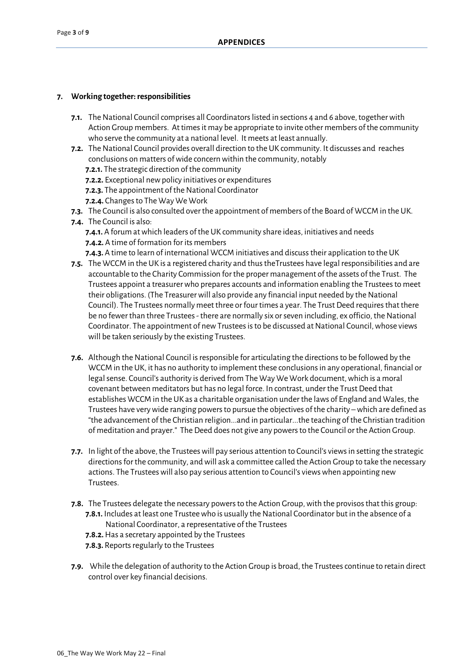# **7. Working together:responsibilities**

- **7.1.** The National Council comprises all Coordinators listed in sections 4 and 6 above, together with Action Group members. Attimesit may be appropriate to invite other members of the community who serve the community at a national level. It meets at least annually.
- **7.2.** The National Council provides overall direction to the UK community. It discusses and reaches conclusions on matters of wide concern within the community, notably
	- **7.2.1.** The strategic direction of the community
	- **7.2.2.** Exceptional newpolicy initiatives or expenditures
	- **7.2.3.** The appointment of the National Coordinator
	- **7.2.4.** Changes to The Way We Work
- **7.3.** The Council is also consulted over the appointment of members of the Board of WCCM in the UK.
- **7.4.** The Council is also:
	- **7.4.1.** A forum at which leaders of the UK community share ideas, initiatives and needs **7.4.2.** A time of formation for its members
	- **7.4.3.** A time to learn of international WCCM initiatives and discusstheir application to the UK
- **7.5.** The WCCM in the UK is a registered charity and thus theTrustees have legal responsibilities and are accountable to the Charity Commission for the proper management of the assets of the Trust. The Trustees appoint a treasurerwho prepares accounts and information enabling the Trusteesto meet their obligations. (The Treasurer will also provide any financial input needed by the National Council). The Trustees normally meet three or four times a year. The Trust Deed requires that there be no fewer than three Trustees - there are normally six or seven including, ex officio, the National Coordinator. The appointment of new Trustees is to be discussed at National Council, whose views will be taken seriously by the existing Trustees.
- **7.6.** Although the National Council is responsible for articulating the directions to be followed by the WCCM in the UK, it has no authority to implement these conclusions in any operational, financial or legal sense. Council's authority is derived from The Way We Work document, which is a moral covenant between meditators but has no legal force. In contrast, under the TrustDeed that establishes WCCM in the UK as a charitable organisation under the laws of England and Wales, the Trustees have verywide ranging powersto pursue the objectives of the charity –which are defined as "the advancement of the Christian religion...and in particular...the teaching of the Christian tradition of meditation and prayer." The Deed does not give any powers to the Council or the Action Group.
- **7.7.** In light of the above, the Trustees will pay serious attention to Council's views in setting the strategic directions for the community, and will ask a committee called the Action Group to take the necessary actions. The Trusteeswill also pay serious attention to Council's viewswhen appointing new Trustees.
- **7.8.** The Trustees delegate the necessary powers to the Action Group, with the provisos that this group: **7.8.1.** Includes at least one Trustee who is usually the National Coordinator but in the absence of a National Coordinator, a representative of the Trustees
	- **7.8.2.**Has a secretary appointed by the Trustees
	- **7.8.3.** Reports regularly to the Trustees
- **7.9.** While the delegation of authority to the Action Group is broad, the Trustees continue to retain direct control over key financial decisions.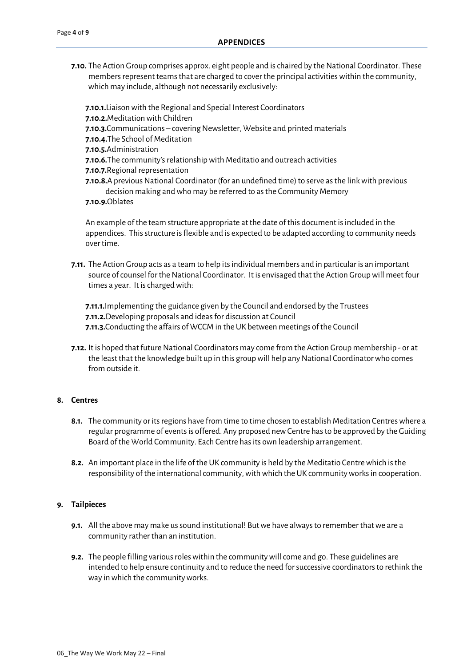**7.10.** The Action Group comprises approx. eight people and is chaired by the National Coordinator. These members represent teams that are charged to cover the principal activities within the community, which may include, although not necessarily exclusively:

**7.10.1.** Liaison with the Regional and Special Interest Coordinators **7.10.2.**Meditation with Children **7.10.3.**Communications – covering Newsletter, Website and printed materials **7.10.4.**The School of Meditation **7.10.5.**Administration **7.10.6.**The community's relationship with Meditatio and outreach activities **7.10.7.**Regional representation **7.10.8.**A previous National Coordinator (for an undefined time) to serve as the link with previous decision making and who may be referred to as the Community Memory **7.10.9.**Oblates

An example of the team structure appropriate atthe date of this document isincluded in the appendices. This structure is flexible and is expected to be adapted according to community needs over time.

**7.11.** The Action Group acts as a team to help its individual members and in particular is an important source of counsel for the National Coordinator. It is envisaged that the Action Group will meet four times a year. Itischargedwith:

**7.11.1.**Implementing the guidance given by the Council and endorsed by the Trustees **7.11.2.** Developing proposals and ideas for discussion at Council **7.11.3.** Conducting the affairs of WCCM in the UK between meetings of the Council

**7.12.** It is hoped that future National Coordinators may come from the Action Group membership - or at the least that the knowledge built up in this group will help any National Coordinator who comes from outside it.

# **8. Centres**

- **8.1.** The community or its regions have from time to time chosen to establish Meditation Centres where a regular programme of events is offered. Any proposed new Centre has to be approved by the Guiding Board of the World Community. Each Centre has its own leadership arrangement.
- **8.2.** An important place in the life of the UK community is held by the Meditatio Centrewhich isthe responsibility of the international community, with which the UK community works in cooperation.

## **9. Tailpieces**

- **9.1.** All the above may make us sound institutional! But we have always to remember that we are a community rather than an institution.
- **9.2.** The people filling various roles within the community will come and go. These guidelines are intended to help ensure continuity and to reduce the need for successive coordinators to rethink the way in which the communityworks.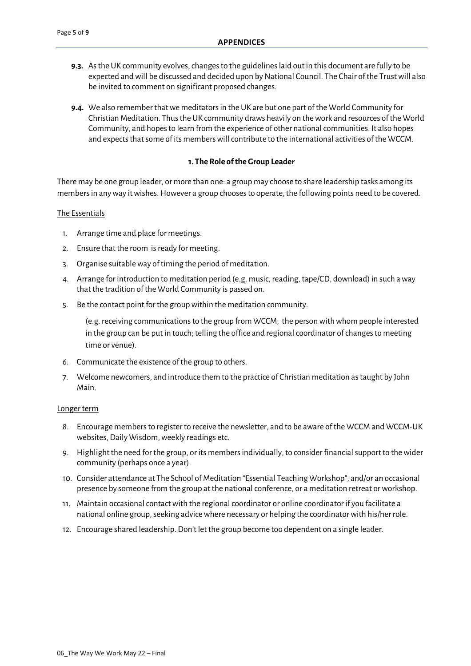- **9.3.** As the UK community evolves, changes to the guidelines laid out in this document are fully to be expected and will be discussed and decided upon by National Council. The Chair of the Trust will also be invited to comment on significant proposed changes.
- **9.4.** We also remember thatwe meditatorsin the UK are but one part of the World Community for Christian Meditation. Thus the UK community draws heavily on the work and resources of the World Community, and hopesto learn from the experience of other nationalcommunities. It also hopes and expects that some of its members will contribute to the international activities of the WCCM.

# **1. TheRole oftheGroup Leader**

There may be one group leader, or more than one: a group may choose to share leadership tasks among its members in any way it wishes. However a group chooses to operate, the following points need to be covered.

## The Essentials

- 1. Arrange time and place for meetings.
- 2. Ensure that the room is ready for meeting.
- 3. Organise suitableway of timing the period of meditation.
- 4. Arrange for introduction to meditation period (e.g. music, reading, tape/CD, download) in such a way that the tradition of the World Community is passed on.
- 5. Be the contact point for the group within the meditation community.

(e.g. receiving communicationsto the group from WCCM; the person withwhom people interested in the group can be put in touch; telling the office and regional coordinator of changes to meeting time or venue).

- 6. Communicate the existence of the group to others.
- 7. Welcome newcomers, and introduce them to the practice of Christian meditation astaught by John Main.

#### Longer term

- 8. Encourage membersto register to receive the newsletter, and to be aware of the WCCM and WCCM-UK websites, Daily Wisdom, weekly readings etc.
- 9. Highlight the need for the group, or its membersindividually, to consider financialsupport to thewider community (perhaps once a year).
- 10. Consider attendance at The School of Meditation "Essential Teaching Workshop", and/or an occasional presence by someone from the group at the national conference, or a meditation retreat or workshop.
- 11. Maintain occasional contact with the regional coordinator or online coordinator if you facilitate a national online group, seeking advice where necessary or helping the coordinator with his/her role.
- 12. Encourage shared leadership. Don't let the group become too dependent on a single leader.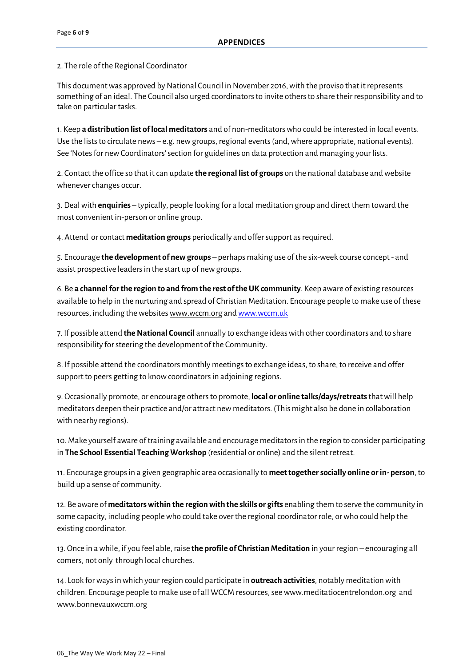2. The role of the Regional Coordinator

This document was approved by National Council in November 2016, with the proviso that it represents something of an ideal. The Council also urged coordinatorsto invite othersto share their responsibility and to take on particular tasks.

1. Keep **a distribution list oflocal meditators** and of non-meditatorswho could be interested in local events. Use the lists to circulate news – e.g. new groups, regional events (and, where appropriate, national events). See 'Notes for new Coordinators' section for guidelines on data protection and managing your lists.

2. Contact the office so that it can update **the regional list of groups** on the national database and website whenever changes occur.

3. Dealwith **enquiries** – typically, people looking for a local meditation group and direct them toward the most convenient in-person or online group.

4. Attend orcontact **meditation groups** periodically and offersupport asrequired.

5. Encourage **the development of newgroups** – perhaps making use of the six-week course concept - and assist prospective leaders in the start up of new groups.

6. Be **a channelforthe region to and from the rest oftheUK community**. Keep aware of existing resources available to help in the nurturing and spread of Christian Meditation. Encourage people to make use of these resources, including the websites www.wccm.org and www.wccm.uk

7. If possible attend **theNational Council** annually to exchange ideaswith othercoordinators and to share responsibility for steering the development of the Community.

8. If possible attend the coordinators monthly meetings to exchange ideas, to share, to receive and offer support to peers getting to know coordinators in adjoining regions.

9. Occasionally promote, or encourage othersto promote, **local or online talks/days/retreats**thatwill help meditators deepen their practice and/or attract new meditators. (This might also be done in collaboration with nearby regions).

10.Make yourself aware of training available and encourage meditatorsin the region to consider participating in **The School Essential Teaching Workshop** (residential or online) and the silentretreat.

11. Encourage groupsin a given geographic area occasionally to **meettogethersocially online orin- person**, to build up a sense of community.

12. Be aware of **meditatorswithin the regionwith the skills or gifts** enabling them to serve the community in some capacity, including people who could take over the regional coordinator role, or who could help the existing coordinator.

13. Once in awhile, if you feel able, raise **the profile of ChristianMeditation** in your region – encouraging all comers, not only through local churches.

14. Look forwaysin which your region could participate in **outreach activities**, notably meditation with children. Encourage people to make use of all WCCM resources, see www.meditatiocentrelondon.org and www.bonnevauxwccm.org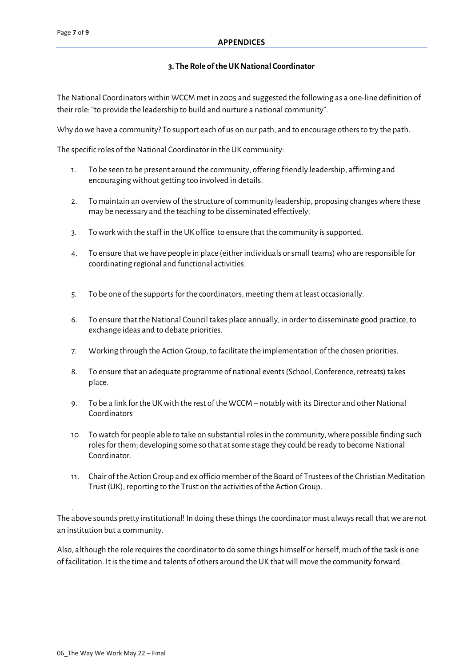## **3. TheRole oftheUKNational Coordinator**

The National Coordinators within WCCM met in 2005 and suggested the following as a one-line definition of their role: "to provide the leadership to build and nurture a nationalcommunity".

Why dowe have a community? To support each of us on our path, and to encourage others to try the path.

The specific roles of the National Coordinator in the UK community:

- 1. To be seen to be present around the community, offering friendly leadership, affirming and encouraging without getting too involved in details.
- 2. To maintain an overview of the structure of community leadership, proposing changes where these may be necessary and the teaching to be disseminated effectively.
- 3. Toworkwith the staff in the UK office to ensure that the community issupported.
- 4. To ensure thatwe have people in place (either individuals orsmall teams)who are responsible for coordinating regional and functional activities.
- 5. To be one of the supports for the coordinators, meeting them at least occasionally.
- 6. To ensure that the National Council takes place annually, in order to disseminate good practice, to exchange ideas and to debate priorities.
- 7. Working through the Action Group, to facilitate the implementation of the chosen priorities.
- 8. To ensure that an adequate programme of national events(School, Conference, retreats) takes place.
- 9. To be a link for the UKwith the rest of the WCCM notablywith its Director and otherNational Coordinators
- 10. To watch for people able to take on substantial roles in the community, where possible finding such roles for them; developing some so that at some stage they could be ready to become National Coordinator.
- 11. Chair of the Action Group and ex officio member of the Board of Trustees of the Christian Meditation Trust (UK), reporting to the Trust on the activities of the Action Group.

The above sounds pretty institutional! In doing these things the coordinator must always recall that we are not an institution but a community.

Also, although the role requiresthe coordinator to do some things himself or herself, much of the task is one of facilitation. Itisthe time and talents of others around the UK thatwill move the community forward.

.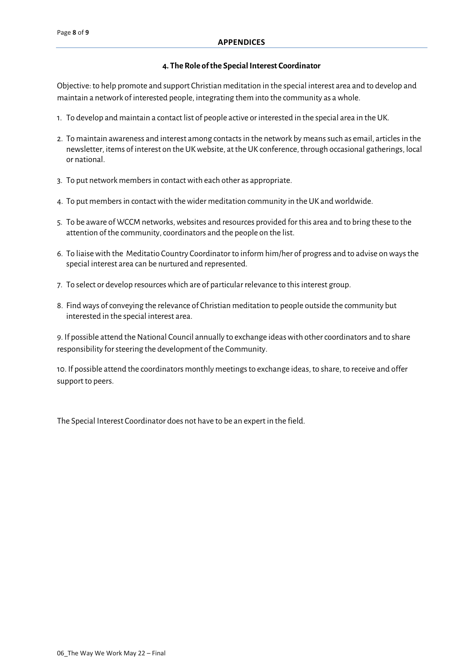#### **4. TheRole ofthe Special Interest Coordinator**

Objective: to help promote and support Christian meditation in the special interest area and to develop and maintain a network of interested people, integrating them into the community as awhole.

- 1. To develop and maintain a contact list of people active orinterested in the special area in the UK.
- 2. To maintain awareness and interest among contacts in the network by means such as email, articles in the newsletter, items of interest on the UK website, at the UK conference, through occasional gatherings, local or national.
- 3. To put network membersin contactwith each other as appropriate.
- 4. To put membersin contactwith thewider meditation community in the UK andworldwide.
- 5. To be aware of WCCM networks,websites and resources provided for this area and to bring these to the attention of the community, coordinators and the people on the list.
- 6. To liaisewith the Meditatio Country Coordinator to inform him/her of progress and to advise onwaysthe special interest area can be nurtured and represented.
- 7. To select or develop resources which are of particular relevance to this interest group.
- 8. Findways ofconveying the relevance of Christian meditation to people outside the community but interested in the special interest area.

9. If possible attend the National Council annually to exchange ideas with other coordinators and to share responsibility for steering the development of the Community.

10. If possible attend the coordinators monthly meetingsto exchange ideas, to share, to receive and offer support to peers.

The Special Interest Coordinator does not have to be an expert in the field.